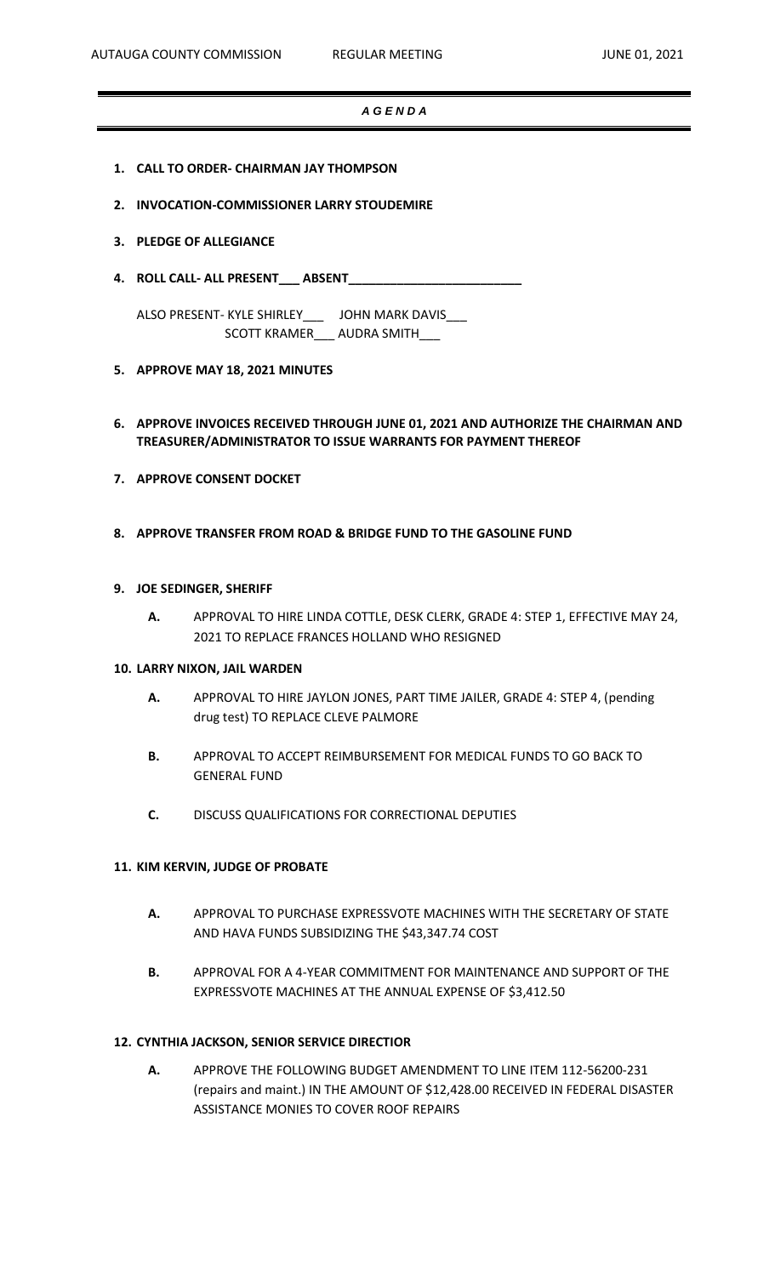#### *A G E N D A*

- **1. CALL TO ORDER- CHAIRMAN JAY THOMPSON**
- **2. INVOCATION-COMMISSIONER LARRY STOUDEMIRE**
- **3. PLEDGE OF ALLEGIANCE**
- **4. ROLL CALL- ALL PRESENT\_\_\_ ABSENT\_\_\_\_\_\_\_\_\_\_\_\_\_\_\_\_\_\_\_\_\_\_\_\_\_**

ALSO PRESENT- KYLE SHIRLEY\_\_\_ JOHN MARK DAVIS\_\_\_ SCOTT KRAMER\_\_\_ AUDRA SMITH\_\_\_

- **5. APPROVE MAY 18, 2021 MINUTES**
- **6. APPROVE INVOICES RECEIVED THROUGH JUNE 01, 2021 AND AUTHORIZE THE CHAIRMAN AND TREASURER/ADMINISTRATOR TO ISSUE WARRANTS FOR PAYMENT THEREOF**
- **7. APPROVE CONSENT DOCKET**
- **8. APPROVE TRANSFER FROM ROAD & BRIDGE FUND TO THE GASOLINE FUND**

#### **9. JOE SEDINGER, SHERIFF**

**A.** APPROVAL TO HIRE LINDA COTTLE, DESK CLERK, GRADE 4: STEP 1, EFFECTIVE MAY 24, 2021 TO REPLACE FRANCES HOLLAND WHO RESIGNED

### **10. LARRY NIXON, JAIL WARDEN**

- **A.** APPROVAL TO HIRE JAYLON JONES, PART TIME JAILER, GRADE 4: STEP 4, (pending drug test) TO REPLACE CLEVE PALMORE
- **B.** APPROVAL TO ACCEPT REIMBURSEMENT FOR MEDICAL FUNDS TO GO BACK TO GENERAL FUND
- **C.** DISCUSS QUALIFICATIONS FOR CORRECTIONAL DEPUTIES

#### **11. KIM KERVIN, JUDGE OF PROBATE**

- **A.** APPROVAL TO PURCHASE EXPRESSVOTE MACHINES WITH THE SECRETARY OF STATE AND HAVA FUNDS SUBSIDIZING THE \$43,347.74 COST
- **B.** APPROVAL FOR A 4-YEAR COMMITMENT FOR MAINTENANCE AND SUPPORT OF THE EXPRESSVOTE MACHINES AT THE ANNUAL EXPENSE OF \$3,412.50

### **12. CYNTHIA JACKSON, SENIOR SERVICE DIRECTIOR**

**A.** APPROVE THE FOLLOWING BUDGET AMENDMENT TO LINE ITEM 112-56200-231 (repairs and maint.) IN THE AMOUNT OF \$12,428.00 RECEIVED IN FEDERAL DISASTER ASSISTANCE MONIES TO COVER ROOF REPAIRS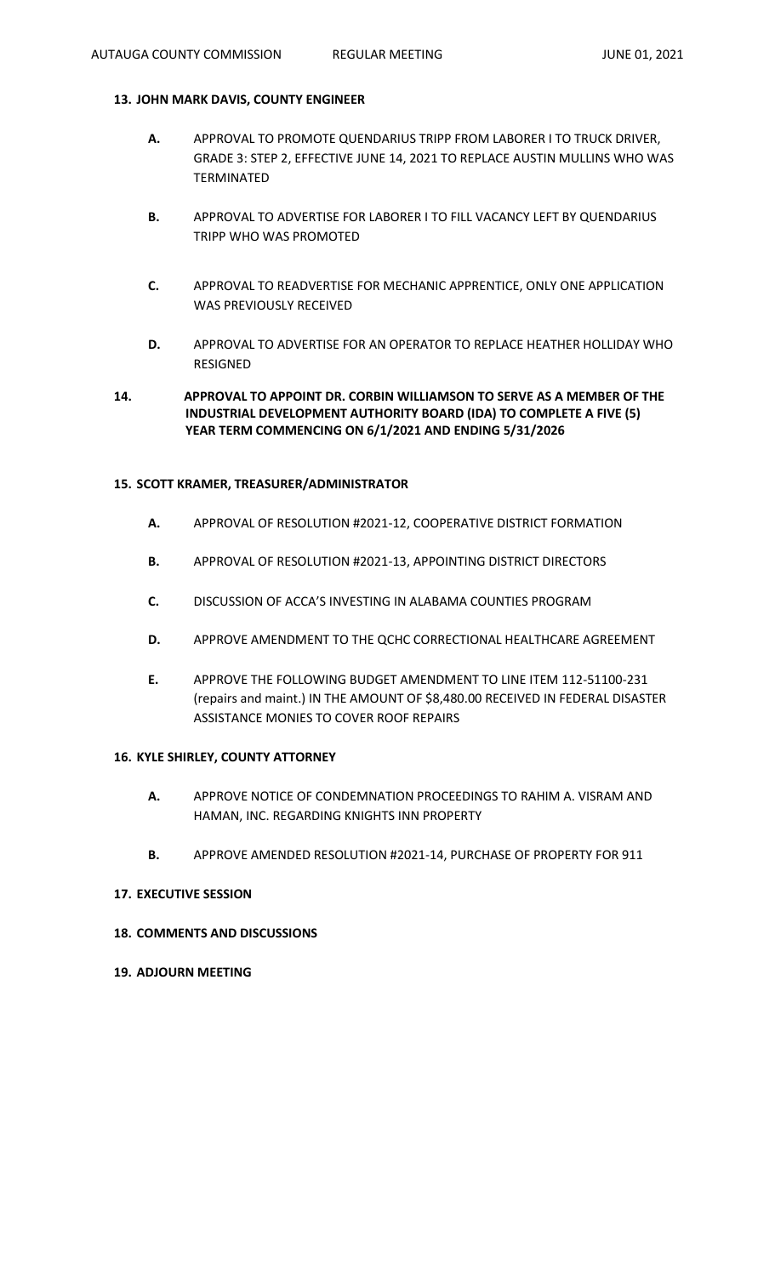### **13. JOHN MARK DAVIS, COUNTY ENGINEER**

- **A.** APPROVAL TO PROMOTE QUENDARIUS TRIPP FROM LABORER I TO TRUCK DRIVER, GRADE 3: STEP 2, EFFECTIVE JUNE 14, 2021 TO REPLACE AUSTIN MULLINS WHO WAS TERMINATED
- **B.** APPROVAL TO ADVERTISE FOR LABORER I TO FILL VACANCY LEFT BY QUENDARIUS TRIPP WHO WAS PROMOTED
- **C.** APPROVAL TO READVERTISE FOR MECHANIC APPRENTICE, ONLY ONE APPLICATION WAS PREVIOUSLY RECEIVED
- **D.** APPROVAL TO ADVERTISE FOR AN OPERATOR TO REPLACE HEATHER HOLLIDAY WHO RESIGNED

# **14. APPROVAL TO APPOINT DR. CORBIN WILLIAMSON TO SERVE AS A MEMBER OF THE INDUSTRIAL DEVELOPMENT AUTHORITY BOARD (IDA) TO COMPLETE A FIVE (5) YEAR TERM COMMENCING ON 6/1/2021 AND ENDING 5/31/2026**

### **15. SCOTT KRAMER, TREASURER/ADMINISTRATOR**

- **A.** APPROVAL OF RESOLUTION #2021-12, COOPERATIVE DISTRICT FORMATION
- **B.** APPROVAL OF RESOLUTION #2021-13, APPOINTING DISTRICT DIRECTORS
- **C.** DISCUSSION OF ACCA'S INVESTING IN ALABAMA COUNTIES PROGRAM
- **D.** APPROVE AMENDMENT TO THE QCHC CORRECTIONAL HEALTHCARE AGREEMENT
- **E.** APPROVE THE FOLLOWING BUDGET AMENDMENT TO LINE ITEM 112-51100-231 (repairs and maint.) IN THE AMOUNT OF \$8,480.00 RECEIVED IN FEDERAL DISASTER ASSISTANCE MONIES TO COVER ROOF REPAIRS

# **16. KYLE SHIRLEY, COUNTY ATTORNEY**

- **A.** APPROVE NOTICE OF CONDEMNATION PROCEEDINGS TO RAHIM A. VISRAM AND HAMAN, INC. REGARDING KNIGHTS INN PROPERTY
- **B.** APPROVE AMENDED RESOLUTION #2021-14, PURCHASE OF PROPERTY FOR 911

#### **17. EXECUTIVE SESSION**

### **18. COMMENTS AND DISCUSSIONS**

**19. ADJOURN MEETING**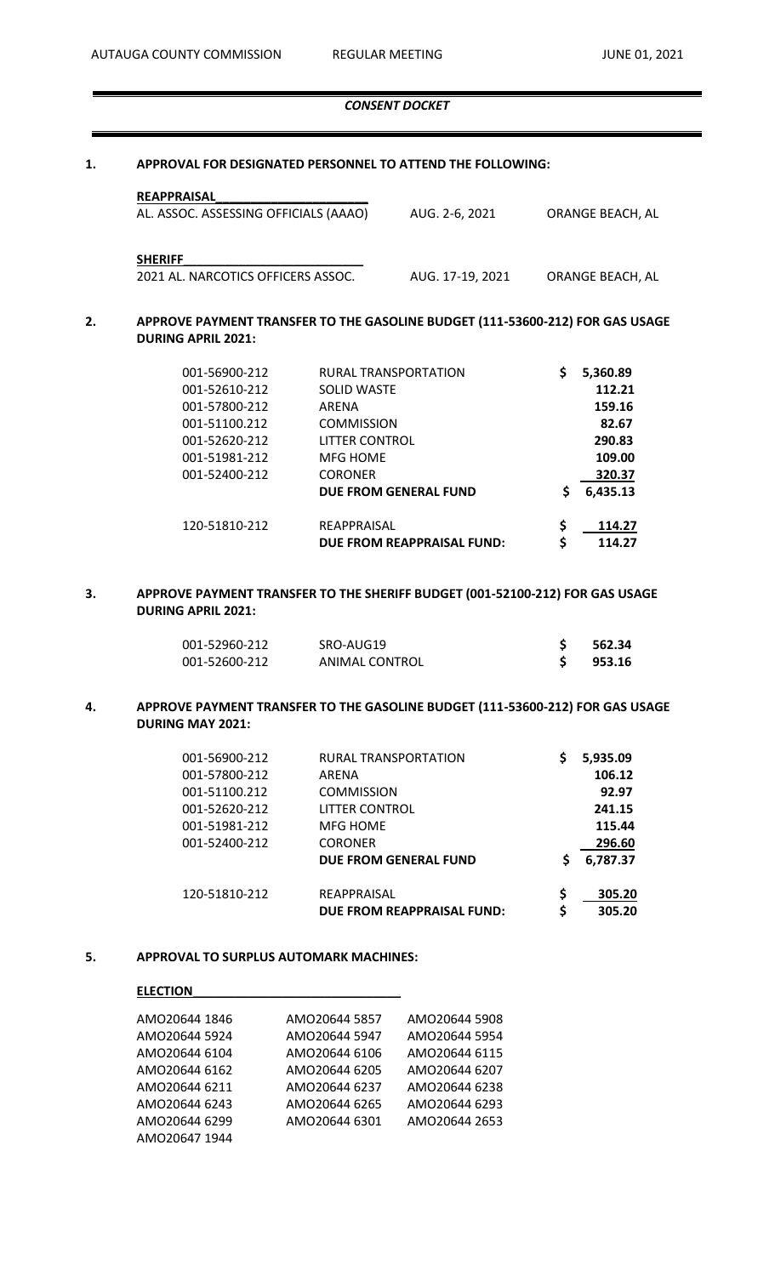#### *CONSENT DOCKET*

#### **1. APPROVAL FOR DESIGNATED PERSONNEL TO ATTEND THE FOLLOWING:**

| <b>REAPPRAISAL</b>                    |                  |                  |
|---------------------------------------|------------------|------------------|
| AL. ASSOC. ASSESSING OFFICIALS (AAAO) | AUG. 2-6. 2021   | ORANGE BEACH, AL |
| <b>SHERIFF</b>                        |                  |                  |
| 2021 AL. NARCOTICS OFFICERS ASSOC.    | AUG. 17-19, 2021 | ORANGE BEACH, AL |

## **2. APPROVE PAYMENT TRANSFER TO THE GASOLINE BUDGET (111-53600-212) FOR GAS USAGE DURING APRIL 2021:**

| 001-56900-212 | RURAL TRANSPORTATION         | \$<br>5,360.89 |
|---------------|------------------------------|----------------|
| 001-52610-212 | <b>SOLID WASTE</b>           | 112.21         |
| 001-57800-212 | ARENA                        | 159.16         |
| 001-51100.212 | <b>COMMISSION</b>            | 82.67          |
| 001-52620-212 | LITTER CONTROL               | 290.83         |
| 001-51981-212 | MFG HOMF                     | 109.00         |
| 001-52400-212 | <b>CORONER</b>               | 320.37         |
|               | <b>DUE FROM GENERAL FUND</b> | \$<br>6,435.13 |
| 120-51810-212 | REAPPRAISAL                  | \$<br>114.27   |
|               | DUE FROM REAPPRAISAL FUND:   | \$<br>114.27   |

### **3. APPROVE PAYMENT TRANSFER TO THE SHERIFF BUDGET (001-52100-212) FOR GAS USAGE DURING APRIL 2021:**

| 001-52960-212 | SRO-AUG19      | 562.34 |
|---------------|----------------|--------|
| 001-52600-212 | ANIMAL CONTROL | 953.16 |

# **4. APPROVE PAYMENT TRANSFER TO THE GASOLINE BUDGET (111-53600-212) FOR GAS USAGE DURING MAY 2021:**

| 001-56900-212 | RURAL TRANSPORTATION         |    | 5,935.09 |
|---------------|------------------------------|----|----------|
| 001-57800-212 | ARENA                        |    | 106.12   |
| 001-51100.212 | <b>COMMISSION</b>            |    | 92.97    |
| 001-52620-212 | LITTER CONTROL               |    | 241.15   |
| 001-51981-212 | MFG HOME                     |    | 115.44   |
| 001-52400-212 | <b>CORONER</b>               |    | 296.60   |
|               | <b>DUE FROM GENERAL FUND</b> | Ś  | 6,787.37 |
| 120-51810-212 | REAPPRAISAL                  | \$ | 305.20   |
|               | DUE FROM REAPPRAISAL FUND:   | \$ | 305.20   |

#### **5. APPROVAL TO SURPLUS AUTOMARK MACHINES:**

#### **ELECTION\_\_\_\_\_\_\_\_\_\_\_\_\_\_\_\_\_\_\_\_\_\_\_\_\_\_\_\_\_\_**

| AMO20644 1846 | AMO20644 5857 | AMO20644 5908 |
|---------------|---------------|---------------|
| AMO20644 5924 | AMO20644 5947 | AMO20644 5954 |
| AMO20644 6104 | AMO20644 6106 | AMO20644 6115 |
| AMO20644 6162 | AMO20644 6205 | AMO20644 6207 |
| AMO20644 6211 | AMO20644 6237 | AMO20644 6238 |
| AMO20644 6243 | AMO20644 6265 | AMO20644 6293 |
| AMO20644 6299 | AMO20644 6301 | AMO20644 2653 |
| AMO20647 1944 |               |               |
|               |               |               |